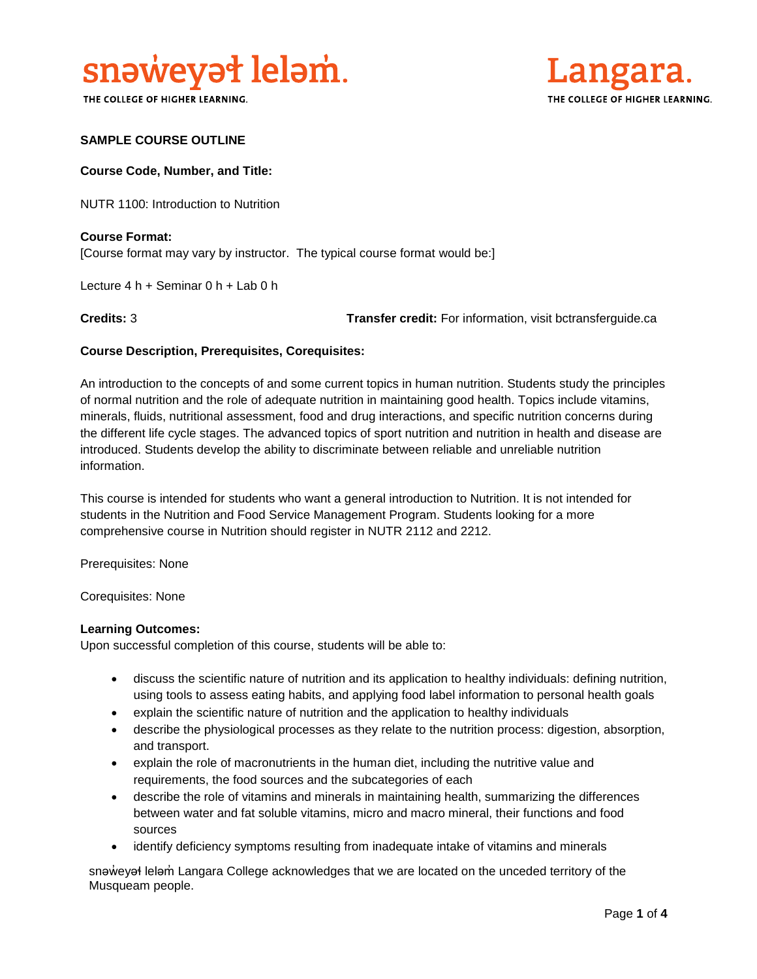

THE COLLEGE OF HIGHER LEARNING.



# **SAMPLE COURSE OUTLINE**

### **Course Code, Number, and Title:**

NUTR 1100: Introduction to Nutrition

# **Course Format:** [Course format may vary by instructor. The typical course format would be:]

Lecture 4 h + Seminar 0 h + Lab 0 h

**Credits:** 3 **Transfer credit:** For information, visit bctransferguide.ca

## **Course Description, Prerequisites, Corequisites:**

An introduction to the concepts of and some current topics in human nutrition. Students study the principles of normal nutrition and the role of adequate nutrition in maintaining good health. Topics include vitamins, minerals, fluids, nutritional assessment, food and drug interactions, and specific nutrition concerns during the different life cycle stages. The advanced topics of sport nutrition and nutrition in health and disease are introduced. Students develop the ability to discriminate between reliable and unreliable nutrition information.

This course is intended for students who want a general introduction to Nutrition. It is not intended for students in the Nutrition and Food Service Management Program. Students looking for a more comprehensive course in Nutrition should register in NUTR 2112 and 2212.

Prerequisites: None

Corequisites: None

#### **Learning Outcomes:**

Upon successful completion of this course, students will be able to:

- discuss the scientific nature of nutrition and its application to healthy individuals: defining nutrition, using tools to assess eating habits, and applying food label information to personal health goals
- explain the scientific nature of nutrition and the application to healthy individuals
- describe the physiological processes as they relate to the nutrition process: digestion, absorption, and transport.
- explain the role of macronutrients in the human diet, including the nutritive value and requirements, the food sources and the subcategories of each
- describe the role of vitamins and minerals in maintaining health, summarizing the differences between water and fat soluble vitamins, micro and macro mineral, their functions and food sources
- identify deficiency symptoms resulting from inadequate intake of vitamins and minerals

snəweyał leləm Langara College acknowledges that we are located on the unceded territory of the Musqueam people.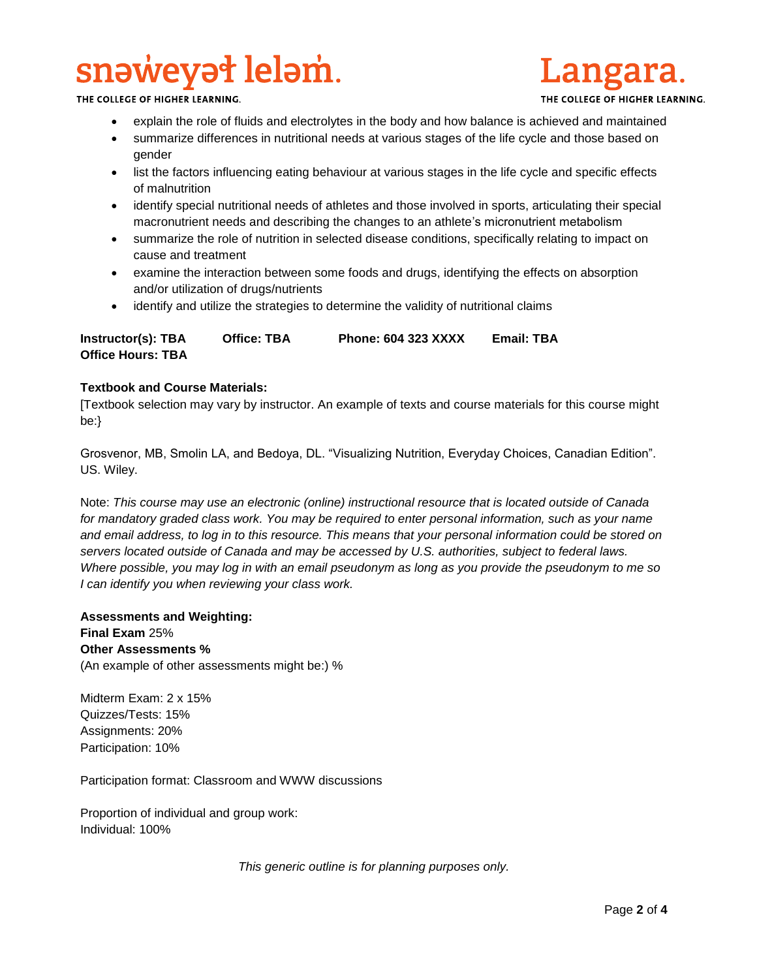# snəweyət leləm.

THE COLLEGE OF HIGHER LEARNING.

- explain the role of fluids and electrolytes in the body and how balance is achieved and maintained
- summarize differences in nutritional needs at various stages of the life cycle and those based on gender
- list the factors influencing eating behaviour at various stages in the life cycle and specific effects of malnutrition
- identify special nutritional needs of athletes and those involved in sports, articulating their special macronutrient needs and describing the changes to an athlete's micronutrient metabolism
- summarize the role of nutrition in selected disease conditions, specifically relating to impact on cause and treatment
- examine the interaction between some foods and drugs, identifying the effects on absorption and/or utilization of drugs/nutrients
- identify and utilize the strategies to determine the validity of nutritional claims

**Instructor(s): TBA Office: TBA Phone: 604 323 XXXX Email: TBA Office Hours: TBA** 

## **Textbook and Course Materials:**

[Textbook selection may vary by instructor. An example of texts and course materials for this course might be:}

Grosvenor, MB, Smolin LA, and Bedoya, DL. "Visualizing Nutrition, Everyday Choices, Canadian Edition". US. Wiley.

Note: *This course may use an electronic (online) instructional resource that is located outside of Canada*  for mandatory graded class work. You may be required to enter personal information, such as your name *and email address, to log in to this resource. This means that your personal information could be stored on servers located outside of Canada and may be accessed by U.S. authorities, subject to federal laws. Where possible, you may log in with an email pseudonym as long as you provide the pseudonym to me so I can identify you when reviewing your class work.* 

**Assessments and Weighting: Final Exam** 25% **Other Assessments %** (An example of other assessments might be:) %

Midterm Exam: 2 x 15% Quizzes/Tests: 15% Assignments: 20% Participation: 10%

Participation format: Classroom and WWW discussions

Proportion of individual and group work: Individual: 100%

*This generic outline is for planning purposes only.*

.angara.

THE COLLEGE OF HIGHER LEARNING.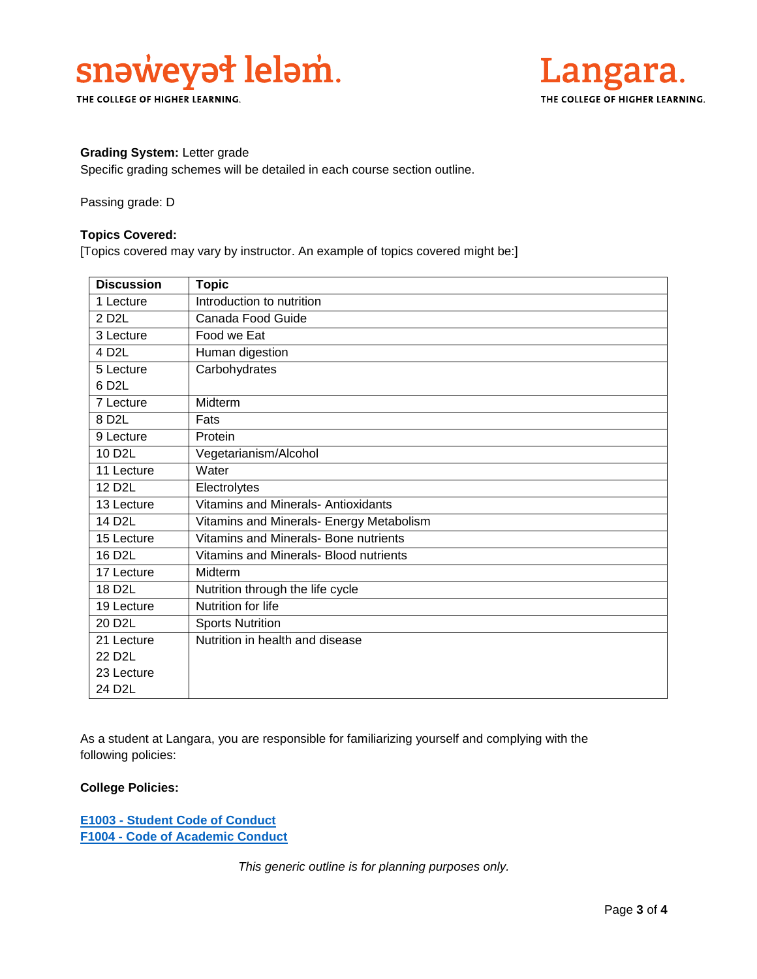

THE COLLEGE OF HIGHER LEARNING.



### **Grading System:** Letter grade

Specific grading schemes will be detailed in each course section outline.

Passing grade: D

### **Topics Covered:**

[Topics covered may vary by instructor. An example of topics covered might be:]

| <b>Discussion</b>   | <b>Topic</b>                             |
|---------------------|------------------------------------------|
| 1 Lecture           | Introduction to nutrition                |
| 2 D <sub>2</sub> L  | Canada Food Guide                        |
| 3 Lecture           | Food we Eat                              |
| 4 D <sub>2</sub> L  | Human digestion                          |
| 5 Lecture           | Carbohydrates                            |
| 6 D <sub>2</sub> L  |                                          |
| 7 Lecture           | Midterm                                  |
| 8 D <sub>2</sub> L  | Fats                                     |
| 9 Lecture           | Protein                                  |
| 10 D <sub>2</sub> L | Vegetarianism/Alcohol                    |
| 11 Lecture          | Water                                    |
| 12 D <sub>2</sub> L | Electrolytes                             |
| 13 Lecture          | Vitamins and Minerals- Antioxidants      |
| 14 D <sub>2</sub> L | Vitamins and Minerals- Energy Metabolism |
| 15 Lecture          | Vitamins and Minerals- Bone nutrients    |
| 16 D <sub>2</sub> L | Vitamins and Minerals- Blood nutrients   |
| 17 Lecture          | Midterm                                  |
| 18 D <sub>2</sub> L | Nutrition through the life cycle         |
| 19 Lecture          | Nutrition for life                       |
| 20 D <sub>2</sub> L | <b>Sports Nutrition</b>                  |
| 21 Lecture          | Nutrition in health and disease          |
| 22 D <sub>2</sub> L |                                          |
| 23 Lecture          |                                          |
| 24 D <sub>2</sub> L |                                          |

As a student at Langara, you are responsible for familiarizing yourself and complying with the following policies:

# **College Policies:**

**E1003 - [Student Code of Conduct](https://langara.ca/about-langara/policies/pdf/E1003.pdf)  F1004 - [Code of Academic Conduct](http://langara.bc.ca/registration-and-records/pdf/F1004.pdf)**

*This generic outline is for planning purposes only.*